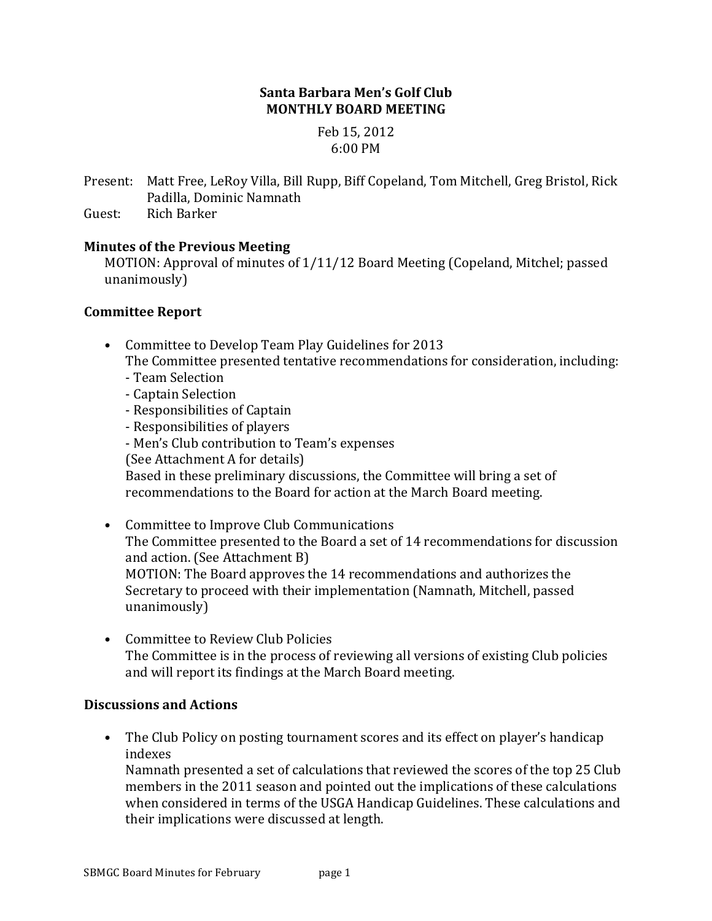#### **Santa Barbara Men's Golf Club MONTHLY BOARD MEETING**

Feb 15, 2012 6:00 PM

Present: Matt Free, LeRoy Villa, Bill Rupp, Biff Copeland, Tom Mitchell, Greg Bristol, Rick Padilla, Dominic Namnath

Guest: Rich Barker

#### **Minutes of the Previous Meeting**

MOTION: Approval of minutes of 1/11/12 Board Meeting (Copeland, Mitchel; passed unanimously)

#### **Committee Report**

- Committee to Develop Team Play Guidelines for 2013 The Committee presented tentative recommendations for consideration, including: - Team Selection
	-
	- Captain Selection
	- Responsibilities of Captain
	- Responsibilities of players
	- Men's Club contribution to Team's expenses
	- (See Attachment A for details)

Based in these preliminary discussions, the Committee will bring a set of recommendations to the Board for action at the March Board meeting.

- Committee to Improve Club Communications The Committee presented to the Board a set of 14 recommendations for discussion and action. (See Attachment B) MOTION: The Board approves the 14 recommendations and authorizes the Secretary to proceed with their implementation (Namnath, Mitchell, passed unanimously)
- Committee to Review Club Policies The Committee is in the process of reviewing all versions of existing Club policies and will report its findings at the March Board meeting.

## **Discussions and Actions**

• The Club Policy on posting tournament scores and its effect on player's handicap indexes

Namnath presented a set of calculations that reviewed the scores of the top 25 Club members in the 2011 season and pointed out the implications of these calculations when considered in terms of the USGA Handicap Guidelines. These calculations and their implications were discussed at length.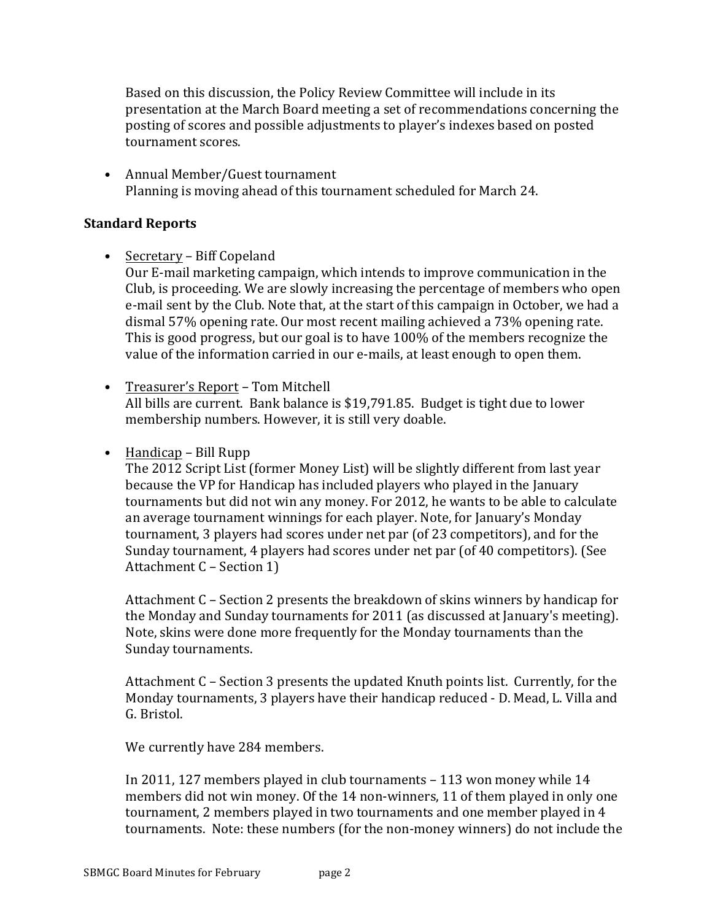Based on this discussion, the Policy Review Committee will include in its presentation at the March Board meeting a set of recommendations concerning the posting of scores and possible adjustments to player's indexes based on posted tournament scores.

• Annual Member/Guest tournament Planning is moving ahead of this tournament scheduled for March 24.

#### **Standard Reports**

 $\bullet$  Secretary – Biff Copeland

Our E-mail marketing campaign, which intends to improve communication in the Club, is proceeding. We are slowly increasing the percentage of members who open e-mail sent by the Club. Note that, at the start of this campaign in October, we had a dismal 57% opening rate. Our most recent mailing achieved a 73% opening rate. This is good progress, but our goal is to have 100% of the members recognize the value of the information carried in our e-mails, at least enough to open them.

- Treasurer's Report Tom Mitchell All bills are current. Bank balance is \$19,791.85. Budget is tight due to lower membership numbers. However, it is still very doable.
- $\bullet$  Handicap Bill Rupp

The 2012 Script List (former Money List) will be slightly different from last year because the VP for Handicap has included players who played in the January tournaments but did not win any money. For 2012, he wants to be able to calculate an average tournament winnings for each player. Note, for January's Monday tournament, 3 players had scores under net par (of 23 competitors), and for the Sunday tournament, 4 players had scores under net par (of 40 competitors). (See Attachment C - Section 1)

Attachment  $C$  – Section 2 presents the breakdown of skins winners by handicap for the Monday and Sunday tournaments for 2011 (as discussed at January's meeting). Note, skins were done more frequently for the Monday tournaments than the Sunday tournaments.

Attachment  $C$  – Section 3 presents the updated Knuth points list. Currently, for the Monday tournaments, 3 players have their handicap reduced - D. Mead, L. Villa and G. Bristol.

We currently have 284 members.

In 2011, 127 members played in club tournaments - 113 won money while 14 members did not win money. Of the 14 non-winners, 11 of them played in only one tournament, 2 members played in two tournaments and one member played in 4 tournaments. Note: these numbers (for the non-money winners) do not include the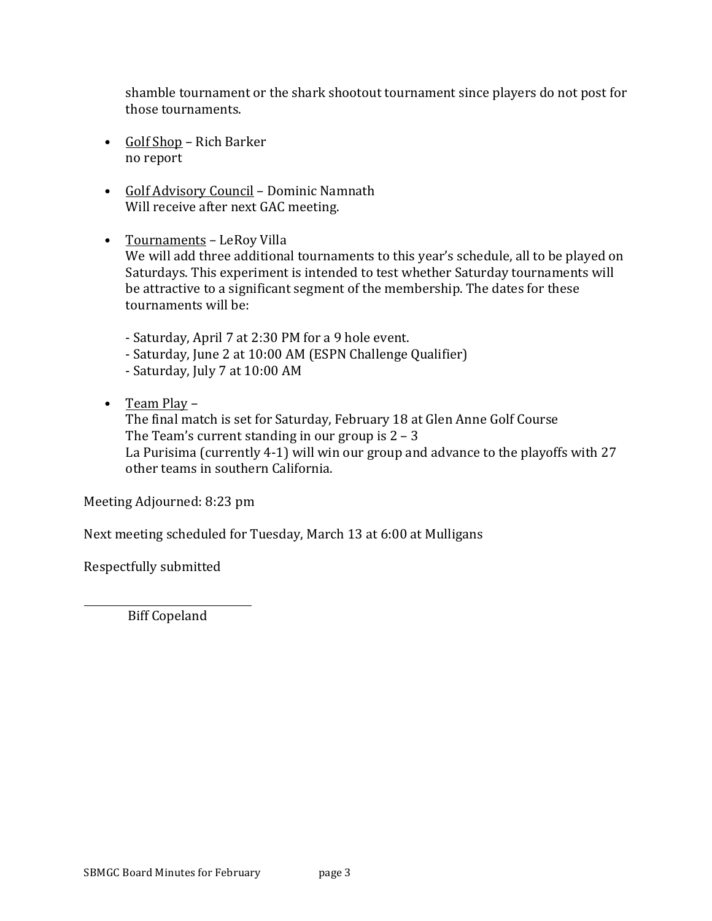shamble tournament or the shark shootout tournament since players do not post for those tournaments.

- Golf Shop Rich Barker no report
- Golf Advisory Council Dominic Namnath Will receive after next GAC meeting.
- Tournaments LeRoy Villa We will add three additional tournaments to this year's schedule, all to be played on Saturdays. This experiment is intended to test whether Saturday tournaments will be attractive to a significant segment of the membership. The dates for these tournaments will be:
	- Saturday, April 7 at 2:30 PM for a 9 hole event.
	- Saturday, June 2 at 10:00 AM (ESPN Challenge Qualifier)
	- Saturday, July 7 at 10:00 AM
- Team Play –

The final match is set for Saturday, February 18 at Glen Anne Golf Course The Team's current standing in our group is  $2 - 3$ La Purisima (currently 4-1) will win our group and advance to the playoffs with  $27$ other teams in southern California.

Meeting Adjourned: 8:23 pm

Next meeting scheduled for Tuesday, March 13 at 6:00 at Mulligans

Respectfully submitted

Biff Copeland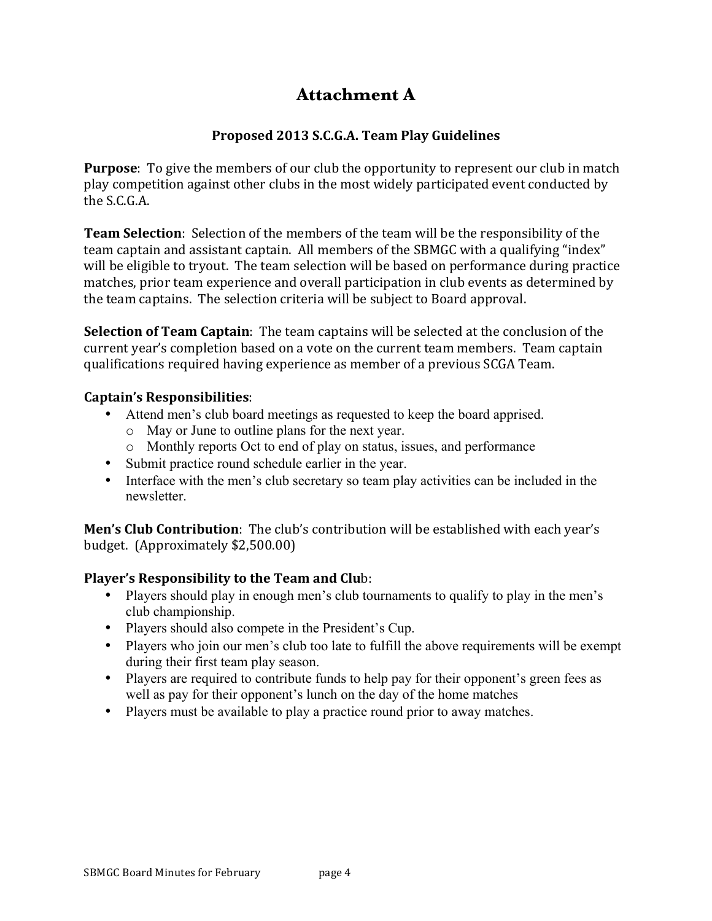# **Attachment A**

## **Proposed 2013 S.C.G.A. Team Play Guidelines**

**Purpose**: To give the members of our club the opportunity to represent our club in match play competition against other clubs in the most widely participated event conducted by the S.C.G.A.

**Team Selection**: Selection of the members of the team will be the responsibility of the team captain and assistant captain. All members of the SBMGC with a qualifying "index" will be eligible to tryout. The team selection will be based on performance during practice matches, prior team experience and overall participation in club events as determined by the team captains. The selection criteria will be subject to Board approval.

**Selection of Team Captain**: The team captains will be selected at the conclusion of the current year's completion based on a vote on the current team members. Team captain qualifications required having experience as member of a previous SCGA Team.

#### **Captain's Responsibilities**:

- Attend men's club board meetings as requested to keep the board apprised.
	- o May or June to outline plans for the next year.
	- o Monthly reports Oct to end of play on status, issues, and performance
- Submit practice round schedule earlier in the year.
- Interface with the men's club secretary so team play activities can be included in the newsletter.

**Men's Club Contribution**: The club's contribution will be established with each year's budget. (Approximately \$2,500.00)

## **Player's Responsibility to the Team and Club:**

- Players should play in enough men's club tournaments to qualify to play in the men's club championship.
- Players should also compete in the President's Cup.
- Players who join our men's club too late to fulfill the above requirements will be exempt during their first team play season.
- Players are required to contribute funds to help pay for their opponent's green fees as well as pay for their opponent's lunch on the day of the home matches
- Players must be available to play a practice round prior to away matches.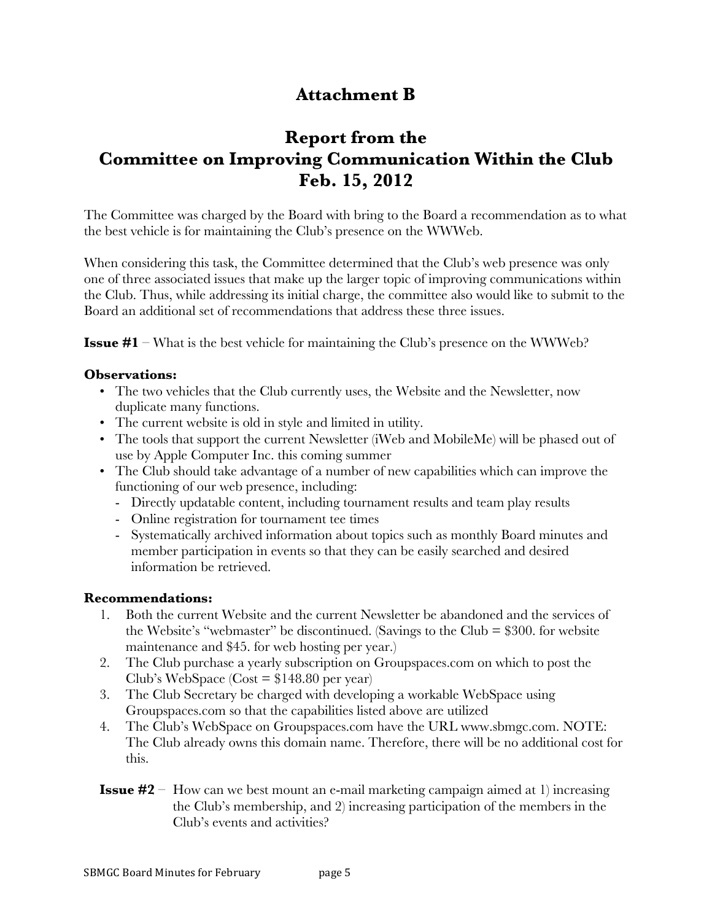# **Attachment B**

# **Report from the Committee on Improving Communication Within the Club Feb. 15, 2012**

The Committee was charged by the Board with bring to the Board a recommendation as to what the best vehicle is for maintaining the Club's presence on the WWWeb.

When considering this task, the Committee determined that the Club's web presence was only one of three associated issues that make up the larger topic of improving communications within the Club. Thus, while addressing its initial charge, the committee also would like to submit to the Board an additional set of recommendations that address these three issues.

**Issue #1** – What is the best vehicle for maintaining the Club's presence on the WWWeb?

#### **Observations:**

- The two vehicles that the Club currently uses, the Website and the Newsletter, now duplicate many functions.
- The current website is old in style and limited in utility.
- The tools that support the current Newsletter (iWeb and MobileMe) will be phased out of use by Apple Computer Inc. this coming summer
- The Club should take advantage of a number of new capabilities which can improve the functioning of our web presence, including:
	- Directly updatable content, including tournament results and team play results
	- Online registration for tournament tee times
	- Systematically archived information about topics such as monthly Board minutes and member participation in events so that they can be easily searched and desired information be retrieved.

#### **Recommendations:**

- 1. Both the current Website and the current Newsletter be abandoned and the services of the Website's "webmaster" be discontinued. (Savings to the Club  $= $300$ . for website maintenance and \$45. for web hosting per year.)
- 2. The Club purchase a yearly subscription on Groupspaces.com on which to post the Club's WebSpace  $(Cost = $148.80$  per year)
- 3. The Club Secretary be charged with developing a workable WebSpace using Groupspaces.com so that the capabilities listed above are utilized
- 4. The Club's WebSpace on Groupspaces.com have the URL www.sbmgc.com. NOTE: The Club already owns this domain name. Therefore, there will be no additional cost for this.
- **Issue #2** How can we best mount an e-mail marketing campaign aimed at 1) increasing the Club's membership, and 2) increasing participation of the members in the Club's events and activities?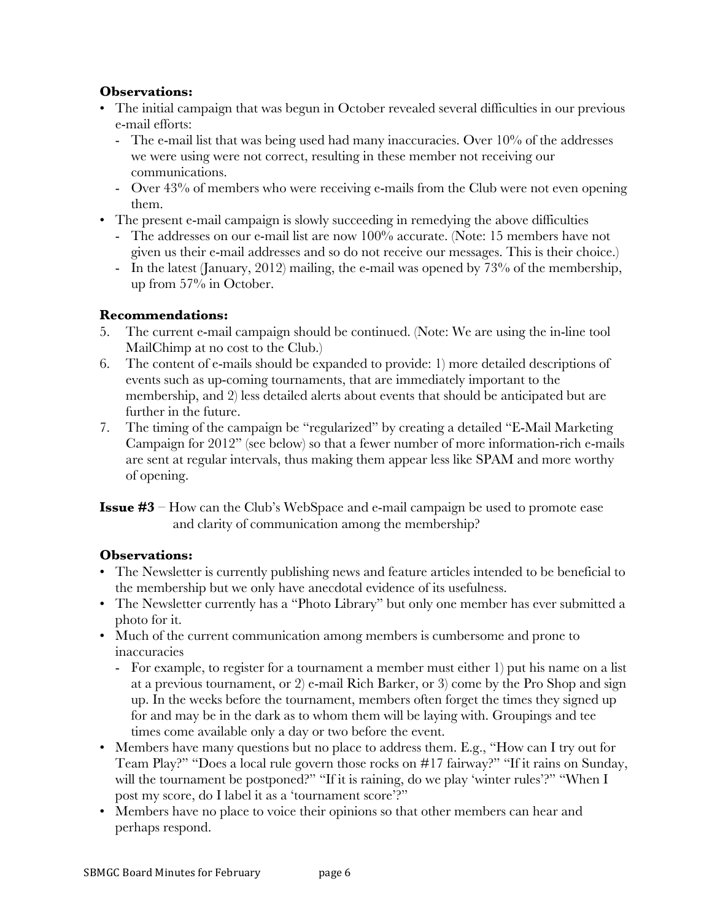#### **Observations:**

- The initial campaign that was begun in October revealed several difficulties in our previous e-mail efforts:
	- The e-mail list that was being used had many inaccuracies. Over 10% of the addresses we were using were not correct, resulting in these member not receiving our communications.
	- Over 43% of members who were receiving e-mails from the Club were not even opening them.
- The present e-mail campaign is slowly succeeding in remedying the above difficulties
	- The addresses on our e-mail list are now 100% accurate. (Note: 15 members have not given us their e-mail addresses and so do not receive our messages. This is their choice.)
	- In the latest (January, 2012) mailing, the e-mail was opened by 73% of the membership, up from 57% in October.

#### **Recommendations:**

- 5. The current e-mail campaign should be continued. (Note: We are using the in-line tool MailChimp at no cost to the Club.)
- 6. The content of e-mails should be expanded to provide: 1) more detailed descriptions of events such as up-coming tournaments, that are immediately important to the membership, and 2) less detailed alerts about events that should be anticipated but are further in the future.
- 7. The timing of the campaign be "regularized" by creating a detailed "E-Mail Marketing Campaign for 2012" (see below) so that a fewer number of more information-rich e-mails are sent at regular intervals, thus making them appear less like SPAM and more worthy of opening.

**Issue #3** – How can the Club's WebSpace and e-mail campaign be used to promote ease and clarity of communication among the membership?

#### **Observations:**

- The Newsletter is currently publishing news and feature articles intended to be beneficial to the membership but we only have anecdotal evidence of its usefulness.
- The Newsletter currently has a "Photo Library" but only one member has ever submitted a photo for it.
- Much of the current communication among members is cumbersome and prone to inaccuracies
	- For example, to register for a tournament a member must either 1) put his name on a list at a previous tournament, or 2) e-mail Rich Barker, or 3) come by the Pro Shop and sign up. In the weeks before the tournament, members often forget the times they signed up for and may be in the dark as to whom them will be laying with. Groupings and tee times come available only a day or two before the event.
- Members have many questions but no place to address them. E.g., "How can I try out for Team Play?" "Does a local rule govern those rocks on #17 fairway?" "If it rains on Sunday, will the tournament be postponed?" "If it is raining, do we play 'winter rules'?" "When I post my score, do I label it as a 'tournament score'?"
- Members have no place to voice their opinions so that other members can hear and perhaps respond.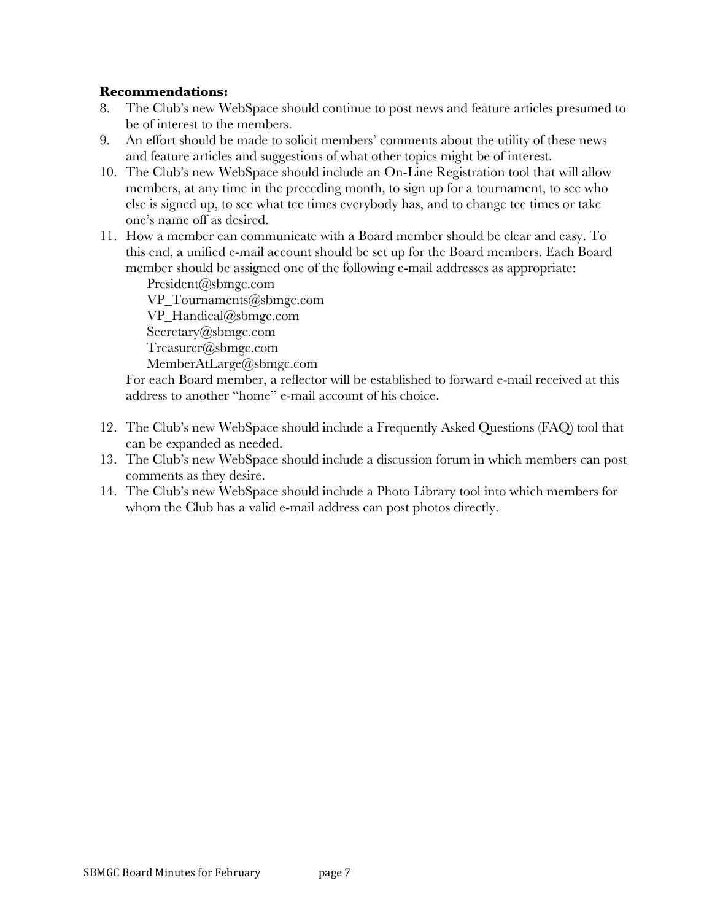#### **Recommendations:**

- 8. The Club's new WebSpace should continue to post news and feature articles presumed to be of interest to the members.
- 9. An effort should be made to solicit members' comments about the utility of these news and feature articles and suggestions of what other topics might be of interest.
- 10. The Club's new WebSpace should include an On-Line Registration tool that will allow members, at any time in the preceding month, to sign up for a tournament, to see who else is signed up, to see what tee times everybody has, and to change tee times or take one's name off as desired.
- 11. How a member can communicate with a Board member should be clear and easy. To this end, a unified e-mail account should be set up for the Board members. Each Board member should be assigned one of the following e-mail addresses as appropriate:

President@sbmgc.com VP Tournaments@sbmgc.com VP\_Handical@sbmgc.com Secretary@sbmgc.com Treasurer@sbmgc.com MemberAtLarge@sbmgc.com

For each Board member, a reflector will be established to forward e-mail received at this address to another "home" e-mail account of his choice.

- 12. The Club's new WebSpace should include a Frequently Asked Questions (FAQ) tool that can be expanded as needed.
- 13. The Club's new WebSpace should include a discussion forum in which members can post comments as they desire.
- 14. The Club's new WebSpace should include a Photo Library tool into which members for whom the Club has a valid e-mail address can post photos directly.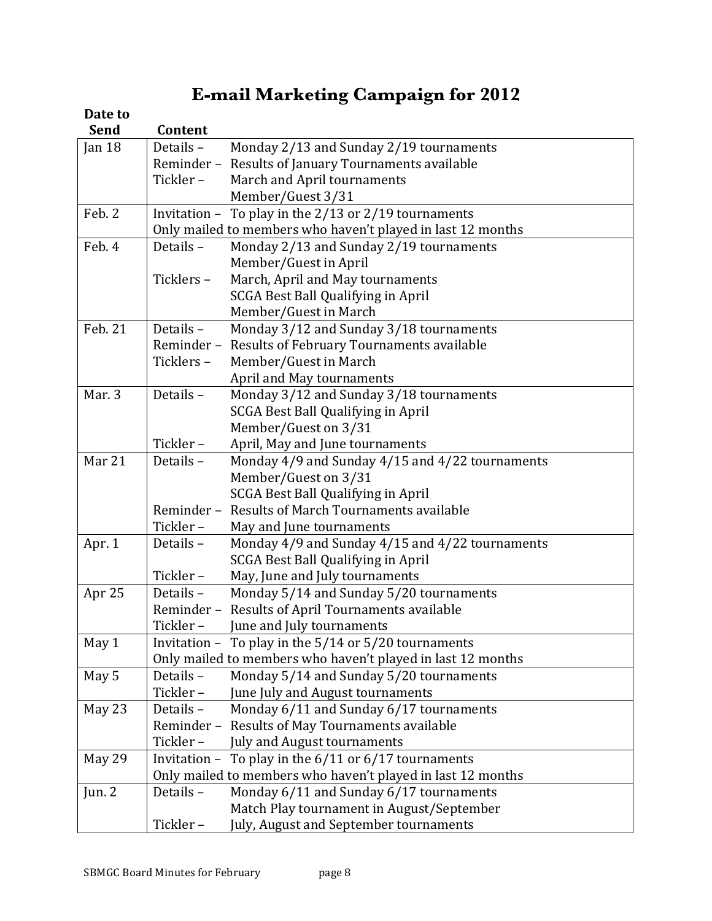# **E-mail Marketing Campaign for 2012**

# Date to

| <b>Send</b> | Content   |                                                             |
|-------------|-----------|-------------------------------------------------------------|
| Jan $18$    | Details - | Monday 2/13 and Sunday 2/19 tournaments                     |
|             | Reminder- | Results of January Tournaments available                    |
|             | Tickler-  | March and April tournaments                                 |
|             |           | Member/Guest 3/31                                           |
| Feb. 2      |           | Invitation - To play in the 2/13 or 2/19 tournaments        |
|             |           | Only mailed to members who haven't played in last 12 months |
| Feb. 4      | Details - | Monday 2/13 and Sunday 2/19 tournaments                     |
|             |           | Member/Guest in April                                       |
|             | Ticklers- | March, April and May tournaments                            |
|             |           | <b>SCGA Best Ball Qualifying in April</b>                   |
|             |           | Member/Guest in March                                       |
| Feb. 21     | Details - | Monday 3/12 and Sunday 3/18 tournaments                     |
|             | Reminder- | Results of February Tournaments available                   |
|             | Ticklers- | Member/Guest in March                                       |
|             |           | April and May tournaments                                   |
| Mar. 3      | Details-  | Monday 3/12 and Sunday 3/18 tournaments                     |
|             |           | SCGA Best Ball Qualifying in April                          |
|             |           | Member/Guest on 3/31                                        |
|             | Tickler-  | April, May and June tournaments                             |
| Mar 21      | Details-  | Monday 4/9 and Sunday 4/15 and 4/22 tournaments             |
|             |           | Member/Guest on 3/31                                        |
|             |           | SCGA Best Ball Qualifying in April                          |
|             | Reminder- | Results of March Tournaments available                      |
|             | Tickler-  | May and June tournaments                                    |
| Apr. 1      | Details - | Monday 4/9 and Sunday 4/15 and 4/22 tournaments             |
|             |           | SCGA Best Ball Qualifying in April                          |
|             | Tickler-  | May, June and July tournaments                              |
| Apr 25      | Details-  | Monday 5/14 and Sunday 5/20 tournaments                     |
|             | Reminder- | Results of April Tournaments available                      |
|             | Tickler-  | June and July tournaments                                   |
| May 1       |           | Invitation - To play in the $5/14$ or $5/20$ tournaments    |
|             |           | Only mailed to members who haven't played in last 12 months |
| May 5       | Details-  | Monday 5/14 and Sunday 5/20 tournaments                     |
|             | Tickler-  | June July and August tournaments                            |
| May 23      | Details - | Monday 6/11 and Sunday 6/17 tournaments                     |
|             | Reminder- | Results of May Tournaments available                        |
|             | Tickler-  | July and August tournaments                                 |
| May 29      |           | Invitation - To play in the $6/11$ or $6/17$ tournaments    |
|             |           | Only mailed to members who haven't played in last 12 months |
| Jun. $2$    | Details-  | Monday 6/11 and Sunday 6/17 tournaments                     |
|             |           | Match Play tournament in August/September                   |
|             | Tickler-  | July, August and September tournaments                      |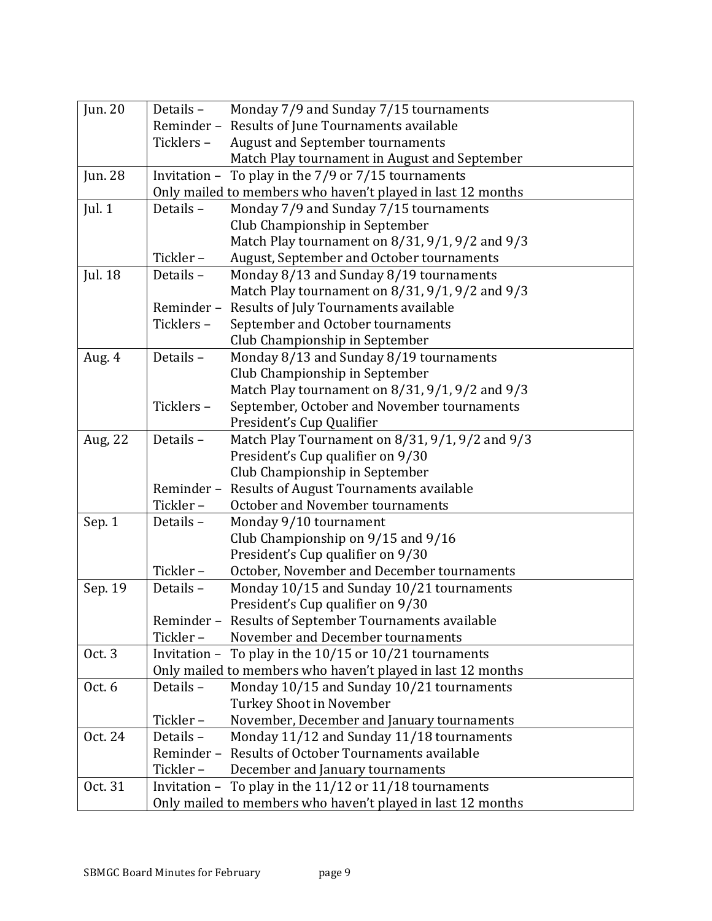| Jun. 20        | Details -<br>Monday 7/9 and Sunday 7/15 tournaments          |
|----------------|--------------------------------------------------------------|
|                | Reminder - Results of June Tournaments available             |
|                | <b>August and September tournaments</b><br>Ticklers-         |
|                | Match Play tournament in August and September                |
| <b>Jun. 28</b> | Invitation - To play in the $7/9$ or $7/15$ tournaments      |
|                | Only mailed to members who haven't played in last 12 months  |
| Jul. $1$       | Monday 7/9 and Sunday 7/15 tournaments<br>Details -          |
|                | Club Championship in September                               |
|                | Match Play tournament on 8/31, 9/1, 9/2 and 9/3              |
|                | August, September and October tournaments<br>Tickler-        |
| Jul. 18        | Monday 8/13 and Sunday 8/19 tournaments<br>Details -         |
|                | Match Play tournament on 8/31, 9/1, 9/2 and 9/3              |
|                | Results of July Tournaments available<br>Reminder-           |
|                | September and October tournaments<br>Ticklers-               |
|                | Club Championship in September                               |
| Aug. 4         | Details -<br>Monday 8/13 and Sunday 8/19 tournaments         |
|                | Club Championship in September                               |
|                | Match Play tournament on 8/31, 9/1, 9/2 and 9/3              |
|                | September, October and November tournaments<br>Ticklers-     |
|                | President's Cup Qualifier                                    |
| Aug, 22        | Match Play Tournament on 8/31, 9/1, 9/2 and 9/3<br>Details - |
|                | President's Cup qualifier on 9/30                            |
|                | Club Championship in September                               |
|                | Results of August Tournaments available<br>Reminder-         |
|                | Tickler-<br>October and November tournaments                 |
| Sep. 1         | Details -<br>Monday 9/10 tournament                          |
|                | Club Championship on 9/15 and 9/16                           |
|                | President's Cup qualifier on 9/30                            |
|                | Tickler-<br>October, November and December tournaments       |
| Sep. 19        | Monday 10/15 and Sunday 10/21 tournaments<br>Details -       |
|                | President's Cup qualifier on 9/30                            |
|                | Reminder - Results of September Tournaments available        |
|                | Tickler-<br>November and December tournaments                |
| Oct. 3         | Invitation - To play in the $10/15$ or $10/21$ tournaments   |
|                | Only mailed to members who haven't played in last 12 months  |
| Oct. $6$       | Monday 10/15 and Sunday 10/21 tournaments<br>Details-        |
|                | Turkey Shoot in November                                     |
|                | Tickler-<br>November, December and January tournaments       |
| Oct. 24        | Details -<br>Monday 11/12 and Sunday 11/18 tournaments       |
|                | Results of October Tournaments available<br>Reminder-        |
|                | Tickler-<br>December and January tournaments                 |
| Oct. 31        | Invitation - To play in the $11/12$ or $11/18$ tournaments   |
|                | Only mailed to members who haven't played in last 12 months  |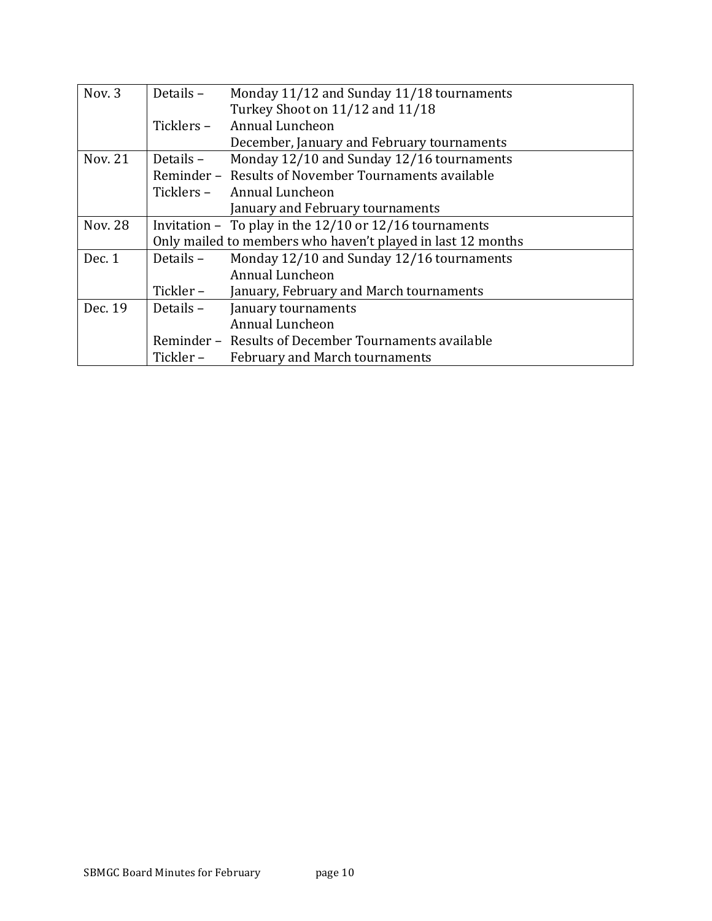| Nov. 3         | Details -  | Monday 11/12 and Sunday 11/18 tournaments                   |  |  |  |  |  |  |
|----------------|------------|-------------------------------------------------------------|--|--|--|--|--|--|
|                |            | Turkey Shoot on 11/12 and 11/18                             |  |  |  |  |  |  |
|                | Ticklers – | <b>Annual Luncheon</b>                                      |  |  |  |  |  |  |
|                |            | December, January and February tournaments                  |  |  |  |  |  |  |
| Nov. 21        | Details –  | Monday 12/10 and Sunday 12/16 tournaments                   |  |  |  |  |  |  |
|                |            | Reminder - Results of November Tournaments available        |  |  |  |  |  |  |
|                |            | Ticklers – Annual Luncheon                                  |  |  |  |  |  |  |
|                |            | January and February tournaments                            |  |  |  |  |  |  |
| <b>Nov. 28</b> |            | Invitation - To play in the $12/10$ or $12/16$ tournaments  |  |  |  |  |  |  |
|                |            | Only mailed to members who haven't played in last 12 months |  |  |  |  |  |  |
| Dec. 1         | Details -  | Monday 12/10 and Sunday 12/16 tournaments                   |  |  |  |  |  |  |
|                |            | Annual Luncheon                                             |  |  |  |  |  |  |
|                | Tickler –  | January, February and March tournaments                     |  |  |  |  |  |  |
| Dec. 19        | Details –  | January tournaments                                         |  |  |  |  |  |  |
|                |            | Annual Luncheon                                             |  |  |  |  |  |  |
|                |            | Reminder - Results of December Tournaments available        |  |  |  |  |  |  |
|                | Tickler –  | <b>February and March tournaments</b>                       |  |  |  |  |  |  |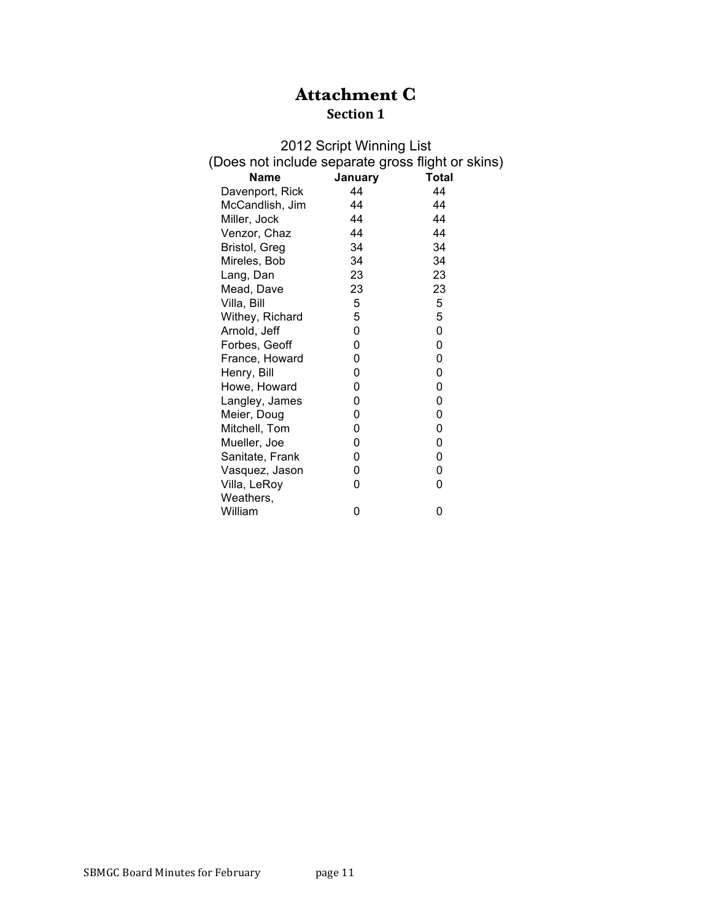# **Attachment C Section 1**

| 2012 Script Winning List                          |         |              |  |  |  |  |  |  |
|---------------------------------------------------|---------|--------------|--|--|--|--|--|--|
| (Does not include separate gross flight or skins) |         |              |  |  |  |  |  |  |
| <b>Name</b>                                       | January | <b>Total</b> |  |  |  |  |  |  |
| Davenport, Rick                                   | 44      | 44           |  |  |  |  |  |  |
| McCandlish, Jim                                   | 44      | 44           |  |  |  |  |  |  |
| Miller, Jock                                      | 44      | 44           |  |  |  |  |  |  |
| Venzor, Chaz                                      | 44      | 44           |  |  |  |  |  |  |
| Bristol, Greg                                     | 34      | 34           |  |  |  |  |  |  |
| Mireles, Bob                                      | 34      | 34           |  |  |  |  |  |  |
| Lang, Dan                                         | 23      | 23           |  |  |  |  |  |  |
| Mead, Dave                                        | 23      | 23           |  |  |  |  |  |  |
| Villa, Bill                                       | 5       | 5            |  |  |  |  |  |  |
| Withey, Richard                                   | 5       | 5            |  |  |  |  |  |  |
| Arnold, Jeff                                      | 0       | 0            |  |  |  |  |  |  |
| Forbes, Geoff                                     | 0       | 0            |  |  |  |  |  |  |
| France, Howard                                    | 0       | 0            |  |  |  |  |  |  |
| Henry, Bill                                       | 0       | 0            |  |  |  |  |  |  |
| Howe, Howard                                      | 0       | 0            |  |  |  |  |  |  |
| Langley, James                                    | 0       | 0            |  |  |  |  |  |  |
| Meier, Doug                                       | 0       | 0            |  |  |  |  |  |  |
| Mitchell, Tom                                     | 0       | 0            |  |  |  |  |  |  |
| Mueller, Joe                                      | 0       | 0            |  |  |  |  |  |  |
| Sanitate, Frank                                   | 0       | 0            |  |  |  |  |  |  |
| Vasquez, Jason                                    | 0       | 0            |  |  |  |  |  |  |
| Villa, LeRoy                                      | 0       | 0            |  |  |  |  |  |  |
| Weathers,                                         |         |              |  |  |  |  |  |  |
| William                                           | 0       | 0            |  |  |  |  |  |  |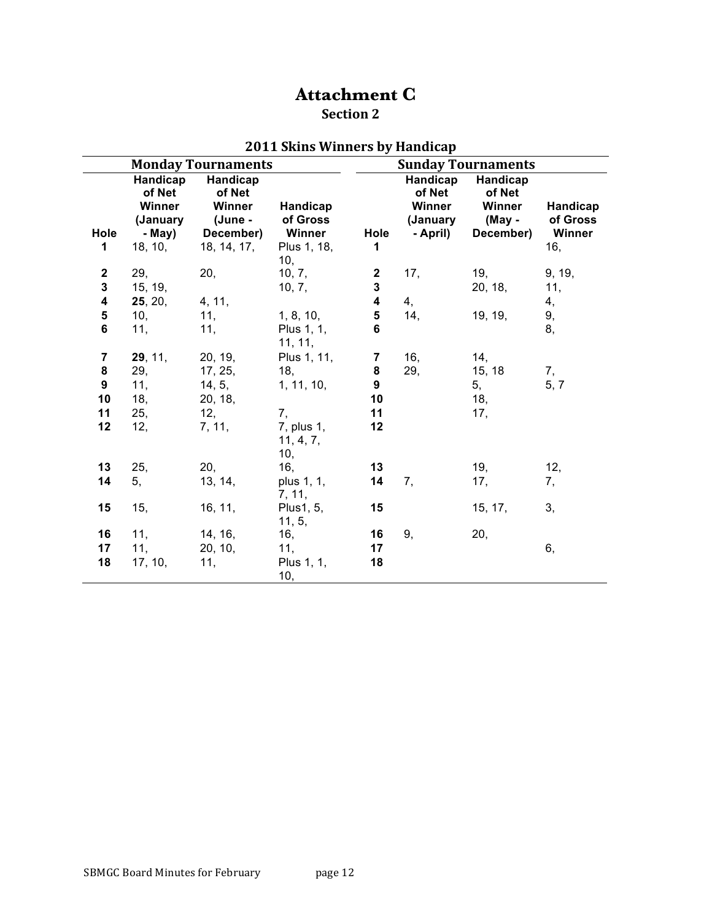# **Attachment C**

## **Section 2**

|                              |                                                               | <b>Monday Tournaments</b>                                           |                                               |                           |                                                      | <b>Sunday Tournaments</b>                           |                                       |
|------------------------------|---------------------------------------------------------------|---------------------------------------------------------------------|-----------------------------------------------|---------------------------|------------------------------------------------------|-----------------------------------------------------|---------------------------------------|
| Hole<br>1                    | Handicap<br>of Net<br>Winner<br>(January<br>- May)<br>18, 10, | Handicap<br>of Net<br>Winner<br>(June -<br>December)<br>18, 14, 17, | Handicap<br>of Gross<br>Winner<br>Plus 1, 18, | Hole<br>1                 | Handicap<br>of Net<br>Winner<br>(January<br>- April) | Handicap<br>of Net<br>Winner<br>(May -<br>December) | Handicap<br>of Gross<br>Winner<br>16, |
| $\mathbf{2}$<br>$\mathbf{3}$ | 29,<br>15, 19,                                                | 20,                                                                 | 10,<br>10, 7,<br>10, 7,                       | $\mathbf{2}$<br>${\bf 3}$ | 17,                                                  | 19,<br>20, 18,                                      | 9, 19,<br>11,                         |
| 4                            | 25, 20,                                                       | 4, 11,                                                              |                                               | $\overline{\mathbf{4}}$   | 4,                                                   |                                                     | 4,                                    |
| $\overline{\mathbf{5}}$<br>6 | 10,<br>11,                                                    | 11,<br>11,                                                          | 1, 8, 10,<br>Plus 1, 1,<br>11, 11,            | ${\bf 5}$<br>6            | 14,                                                  | 19, 19,                                             | 9,<br>8,                              |
| $\overline{7}$               | 29, 11,                                                       | 20, 19,                                                             | Plus 1, 11,                                   | 7                         | 16,                                                  | 14,                                                 |                                       |
| ${\bf 8}$                    | 29,                                                           | 17, 25,                                                             | 18,                                           | ${\bf 8}$                 | 29,                                                  | 15, 18                                              | 7,                                    |
| $\boldsymbol{9}$             | 11,                                                           | 14, 5,                                                              | 1, 11, 10,                                    | $\overline{9}$            |                                                      | 5,                                                  | 5, 7                                  |
| 10                           | 18,                                                           | 20, 18,                                                             |                                               | 10                        |                                                      | 18,                                                 |                                       |
| 11<br>12                     | 25,<br>12,                                                    | 12,<br>7, 11,                                                       | 7,<br>7, plus 1,<br>11, 4, 7,                 | 11<br>12                  |                                                      | 17,                                                 |                                       |
|                              |                                                               |                                                                     | 10,                                           |                           |                                                      |                                                     |                                       |
| 13                           | 25,                                                           | 20,                                                                 | 16,                                           | 13                        |                                                      | 19,                                                 | 12,                                   |
| 14                           | 5,                                                            | 13, 14,                                                             | plus 1, 1,<br>7, 11,                          | 14                        | 7,                                                   | 17,                                                 | 7,                                    |
| 15                           | 15,                                                           | 16, 11,                                                             | Plus1, 5,<br>11, 5,                           | 15                        |                                                      | 15, 17,                                             | 3,                                    |
| 16                           | 11,                                                           | 14, 16,                                                             | 16,                                           | 16                        | 9,                                                   | 20,                                                 |                                       |
| 17                           | 11,                                                           | 20, 10,                                                             | 11,                                           | 17                        |                                                      |                                                     | 6,                                    |
| 18                           | 17, 10,                                                       | 11,                                                                 | Plus 1, 1,<br>10,                             | 18                        |                                                      |                                                     |                                       |

## **2011 Skins Winners by Handicap**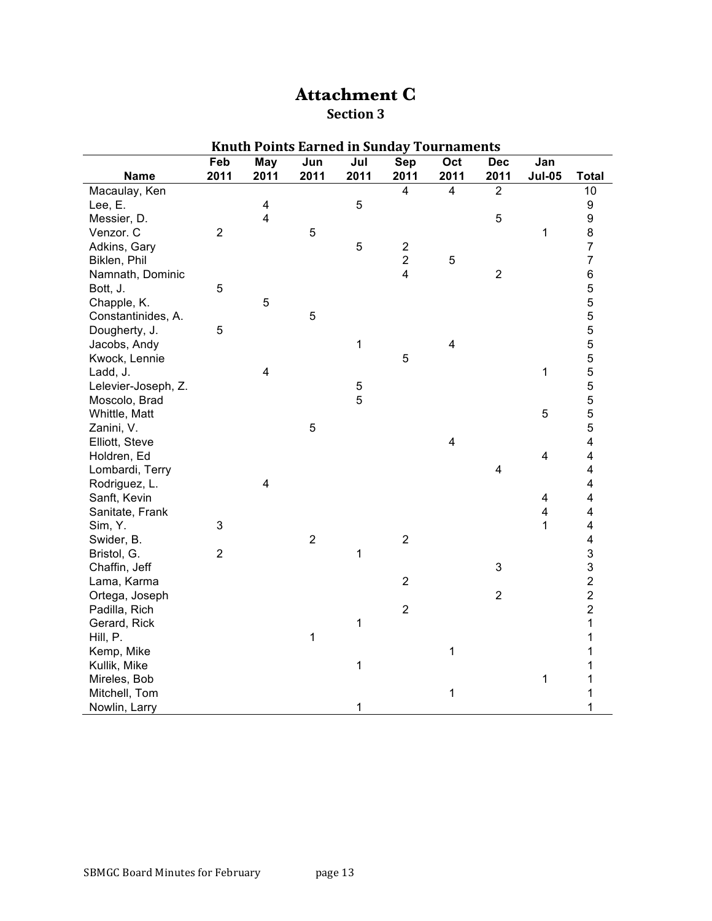## **Attachment C Section 3**

|                     |                |                         |             |             | Knuth Points Earned in Sunday Tournaments |                         |                           |                         |                         |
|---------------------|----------------|-------------------------|-------------|-------------|-------------------------------------------|-------------------------|---------------------------|-------------------------|-------------------------|
|                     | Feb            | May                     | Jun         | Jul         | Sep                                       | Oct                     | <b>Dec</b>                | Jan                     |                         |
| <b>Name</b>         | 2011           | 2011                    | 2011        | 2011        | 2011                                      | 2011                    | 2011                      | <b>Jul-05</b>           | <b>Total</b>            |
| Macaulay, Ken       |                |                         |             |             | $\overline{4}$                            | $\overline{4}$          | $\overline{2}$            |                         | 10                      |
| Lee, E.             |                | $\overline{\mathbf{4}}$ |             | $\mathbf 5$ |                                           |                         |                           |                         | 9                       |
| Messier, D.         |                | $\overline{\mathbf{4}}$ |             |             |                                           |                         | 5                         |                         | 9                       |
| Venzor. C           | $\overline{2}$ |                         | $\sqrt{5}$  |             |                                           |                         |                           | 1                       | 8                       |
| Adkins, Gary        |                |                         |             | 5           | $\boldsymbol{2}$                          |                         |                           |                         | $\overline{7}$          |
| Biklen, Phil        |                |                         |             |             | $\overline{2}$                            | 5                       |                           |                         | $\overline{7}$          |
| Namnath, Dominic    |                |                         |             |             | $\overline{4}$                            |                         | $\overline{2}$            |                         | 6                       |
| Bott, J.            | 5              |                         |             |             |                                           |                         |                           |                         | 5                       |
| Chapple, K.         |                | $\overline{5}$          |             |             |                                           |                         |                           |                         | 5                       |
| Constantinides, A.  |                |                         | 5           |             |                                           |                         |                           |                         | 5                       |
| Dougherty, J.       | 5              |                         |             |             |                                           |                         |                           |                         | 5                       |
| Jacobs, Andy        |                |                         |             | 1           |                                           | $\overline{\mathbf{4}}$ |                           |                         | 5                       |
| Kwock, Lennie       |                |                         |             |             | 5                                         |                         |                           |                         | 5                       |
| Ladd, J.            |                | 4                       |             |             |                                           |                         |                           | 1                       | 5                       |
| Lelevier-Joseph, Z. |                |                         |             | 5           |                                           |                         |                           |                         | 5                       |
| Moscolo, Brad       |                |                         |             | 5           |                                           |                         |                           |                         | 5                       |
| Whittle, Matt       |                |                         |             |             |                                           |                         |                           | 5                       | 5                       |
| Zanini, V.          |                |                         | 5           |             |                                           |                         |                           |                         | 5                       |
| Elliott, Steve      |                |                         |             |             |                                           | $\overline{\mathbf{4}}$ |                           |                         | $\overline{\mathbf{4}}$ |
| Holdren, Ed         |                |                         |             |             |                                           |                         |                           | $\overline{\mathbf{4}}$ | 4                       |
| Lombardi, Terry     |                |                         |             |             |                                           |                         | $\overline{\mathbf{4}}$   |                         | $\overline{\mathbf{4}}$ |
| Rodriguez, L.       |                | $\overline{\mathbf{4}}$ |             |             |                                           |                         |                           |                         | 4                       |
| Sanft, Kevin        |                |                         |             |             |                                           |                         |                           | $\overline{\mathbf{4}}$ | 4                       |
| Sanitate, Frank     |                |                         |             |             |                                           |                         |                           | $\overline{\mathbf{4}}$ | 4                       |
| Sim, Y.             | 3              |                         |             |             |                                           |                         |                           | 1                       | $\overline{\mathbf{4}}$ |
| Swider, B.          |                |                         | $\mathbf 2$ |             | $\overline{2}$                            |                         |                           |                         | $\overline{\mathbf{4}}$ |
| Bristol, G.         | $\overline{2}$ |                         |             | $\mathbf 1$ |                                           |                         |                           |                         | 3                       |
| Chaffin, Jeff       |                |                         |             |             |                                           |                         | $\ensuremath{\mathsf{3}}$ |                         |                         |
| Lama, Karma         |                |                         |             |             | $\overline{2}$                            |                         |                           |                         | $\frac{3}{2}$           |
| Ortega, Joseph      |                |                         |             |             |                                           |                         | $\overline{2}$            |                         | $\overline{c}$          |
| Padilla, Rich       |                |                         |             |             | $\mathbf 2$                               |                         |                           |                         | $\overline{2}$          |
| Gerard, Rick        |                |                         |             | 1           |                                           |                         |                           |                         | $\mathbf{1}$            |
| Hill, P.            |                |                         | 1           |             |                                           |                         |                           |                         | 1                       |
| Kemp, Mike          |                |                         |             |             |                                           | 1                       |                           |                         | 1                       |
| Kullik, Mike        |                |                         |             | 1           |                                           |                         |                           |                         | 1                       |
| Mireles, Bob        |                |                         |             |             |                                           |                         |                           | 1                       | 1                       |
| Mitchell, Tom       |                |                         |             |             |                                           | 1                       |                           |                         | 1                       |
| Nowlin, Larry       |                |                         |             | 1           |                                           |                         |                           |                         | $\mathbf{1}$            |

## **Knuth Points Earned in Sunday Tournaments**